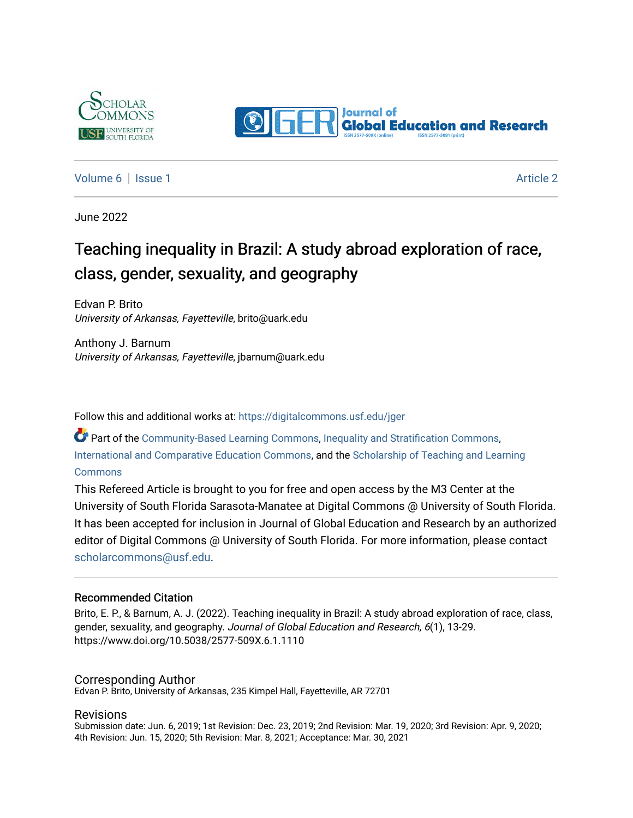



#### [Volume 6](https://digitalcommons.usf.edu/jger/vol6) | [Issue 1](https://digitalcommons.usf.edu/jger/vol6/iss1) [Article 2](https://digitalcommons.usf.edu/jger/vol6/iss1/2) | Article 2 | Article 2 | Article 2 | Article 2 | Article 2 | Article 2 | Article 2

June 2022

# Teaching inequality in Brazil: A study abroad exploration of race, class, gender, sexuality, and geography

Edvan P. Brito University of Arkansas, Fayetteville, brito@uark.edu

Anthony J. Barnum University of Arkansas, Fayetteville, jbarnum@uark.edu

Follow this and additional works at: [https://digitalcommons.usf.edu/jger](https://digitalcommons.usf.edu/jger?utm_source=digitalcommons.usf.edu%2Fjger%2Fvol6%2Fiss1%2F2&utm_medium=PDF&utm_campaign=PDFCoverPages) 

Part of the [Community-Based Learning Commons,](http://network.bepress.com/hgg/discipline/1046?utm_source=digitalcommons.usf.edu%2Fjger%2Fvol6%2Fiss1%2F2&utm_medium=PDF&utm_campaign=PDFCoverPages) [Inequality and Stratification Commons,](http://network.bepress.com/hgg/discipline/421?utm_source=digitalcommons.usf.edu%2Fjger%2Fvol6%2Fiss1%2F2&utm_medium=PDF&utm_campaign=PDFCoverPages) [International and Comparative Education Commons](http://network.bepress.com/hgg/discipline/797?utm_source=digitalcommons.usf.edu%2Fjger%2Fvol6%2Fiss1%2F2&utm_medium=PDF&utm_campaign=PDFCoverPages), and the [Scholarship of Teaching and Learning](http://network.bepress.com/hgg/discipline/1328?utm_source=digitalcommons.usf.edu%2Fjger%2Fvol6%2Fiss1%2F2&utm_medium=PDF&utm_campaign=PDFCoverPages) **[Commons](http://network.bepress.com/hgg/discipline/1328?utm_source=digitalcommons.usf.edu%2Fjger%2Fvol6%2Fiss1%2F2&utm_medium=PDF&utm_campaign=PDFCoverPages)** 

This Refereed Article is brought to you for free and open access by the M3 Center at the University of South Florida Sarasota-Manatee at Digital Commons @ University of South Florida. It has been accepted for inclusion in Journal of Global Education and Research by an authorized editor of Digital Commons @ University of South Florida. For more information, please contact [scholarcommons@usf.edu.](mailto:scholarcommons@usf.edu)

#### Recommended Citation

Brito, E. P., & Barnum, A. J. (2022). Teaching inequality in Brazil: A study abroad exploration of race, class, gender, sexuality, and geography. Journal of Global Education and Research, 6(1), 13-29. https://www.doi.org/10.5038/2577-509X.6.1.1110

#### Corresponding Author

Edvan P. Brito, University of Arkansas, 235 Kimpel Hall, Fayetteville, AR 72701

#### Revisions

Submission date: Jun. 6, 2019; 1st Revision: Dec. 23, 2019; 2nd Revision: Mar. 19, 2020; 3rd Revision: Apr. 9, 2020; 4th Revision: Jun. 15, 2020; 5th Revision: Mar. 8, 2021; Acceptance: Mar. 30, 2021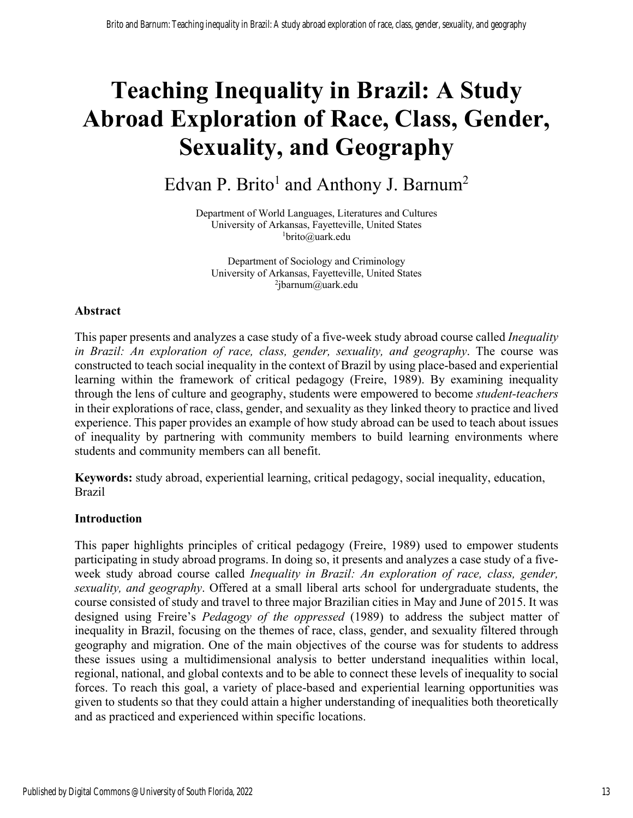# **Teaching Inequality in Brazil: A Study Abroad Exploration of Race, Class, Gender, Sexuality, and Geography**

# Edvan P. Brito<sup>1</sup> and Anthony J. Barnum<sup>2</sup>

Department of World Languages, Literatures and Cultures University of Arkansas, Fayetteville, United States 1 brito@uark.edu

Department of Sociology and Criminology University of Arkansas, Fayetteville, United States  $^{2}$ jbarnum@uark.edu

# **Abstract**

This paper presents and analyzes a case study of a five-week study abroad course called *Inequality in Brazil: An exploration of race, class, gender, sexuality, and geography*. The course was constructed to teach social inequality in the context of Brazil by using place-based and experiential learning within the framework of critical pedagogy (Freire, 1989). By examining inequality through the lens of culture and geography, students were empowered to become *student-teachers* in their explorations of race, class, gender, and sexuality as they linked theory to practice and lived experience. This paper provides an example of how study abroad can be used to teach about issues of inequality by partnering with community members to build learning environments where students and community members can all benefit.

**Keywords:** study abroad, experiential learning, critical pedagogy, social inequality, education, Brazil

# **Introduction**

This paper highlights principles of critical pedagogy (Freire, 1989) used to empower students participating in study abroad programs. In doing so, it presents and analyzes a case study of a fiveweek study abroad course called *Inequality in Brazil: An exploration of race, class, gender, sexuality, and geography*. Offered at a small liberal arts school for undergraduate students, the course consisted of study and travel to three major Brazilian cities in May and June of 2015. It was designed using Freire's *Pedagogy of the oppressed* (1989) to address the subject matter of inequality in Brazil, focusing on the themes of race, class, gender, and sexuality filtered through geography and migration. One of the main objectives of the course was for students to address these issues using a multidimensional analysis to better understand inequalities within local, regional, national, and global contexts and to be able to connect these levels of inequality to social forces. To reach this goal, a variety of place-based and experiential learning opportunities was given to students so that they could attain a higher understanding of inequalities both theoretically and as practiced and experienced within specific locations.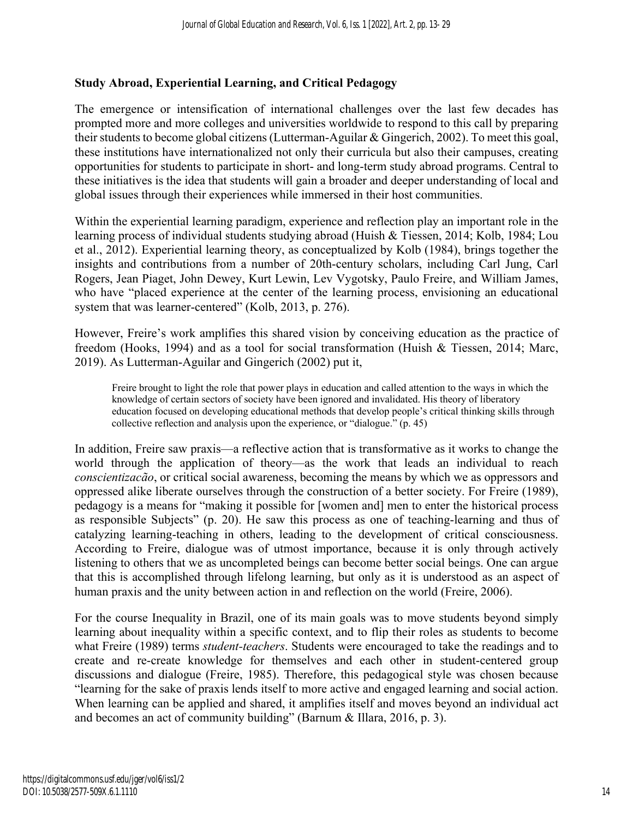# **Study Abroad, Experiential Learning, and Critical Pedagogy**

The emergence or intensification of international challenges over the last few decades has prompted more and more colleges and universities worldwide to respond to this call by preparing their students to become global citizens (Lutterman-Aguilar & Gingerich, 2002). To meet this goal, these institutions have internationalized not only their curricula but also their campuses, creating opportunities for students to participate in short- and long-term study abroad programs. Central to these initiatives is the idea that students will gain a broader and deeper understanding of local and global issues through their experiences while immersed in their host communities.

Within the experiential learning paradigm, experience and reflection play an important role in the learning process of individual students studying abroad (Huish & Tiessen, 2014; Kolb, 1984; Lou et al., 2012). Experiential learning theory, as conceptualized by Kolb (1984), brings together the insights and contributions from a number of 20th-century scholars, including Carl Jung, Carl Rogers, Jean Piaget, John Dewey, Kurt Lewin, Lev Vygotsky, Paulo Freire, and William James, who have "placed experience at the center of the learning process, envisioning an educational system that was learner-centered" (Kolb, 2013, p. 276).

However, Freire's work amplifies this shared vision by conceiving education as the practice of freedom (Hooks, 1994) and as a tool for social transformation (Huish & Tiessen, 2014; Marc, 2019). As Lutterman-Aguilar and Gingerich (2002) put it,

Freire brought to light the role that power plays in education and called attention to the ways in which the knowledge of certain sectors of society have been ignored and invalidated. His theory of liberatory education focused on developing educational methods that develop people's critical thinking skills through collective reflection and analysis upon the experience, or "dialogue." (p. 45)

In addition, Freire saw praxis—a reflective action that is transformative as it works to change the world through the application of theory—as the work that leads an individual to reach *conscientizacão*, or critical social awareness, becoming the means by which we as oppressors and oppressed alike liberate ourselves through the construction of a better society. For Freire (1989), pedagogy is a means for "making it possible for [women and] men to enter the historical process as responsible Subjects" (p. 20). He saw this process as one of teaching-learning and thus of catalyzing learning-teaching in others, leading to the development of critical consciousness. According to Freire, dialogue was of utmost importance, because it is only through actively listening to others that we as uncompleted beings can become better social beings. One can argue that this is accomplished through lifelong learning, but only as it is understood as an aspect of human praxis and the unity between action in and reflection on the world (Freire, 2006).

For the course Inequality in Brazil, one of its main goals was to move students beyond simply learning about inequality within a specific context, and to flip their roles as students to become what Freire (1989) terms *student-teachers*. Students were encouraged to take the readings and to create and re-create knowledge for themselves and each other in student-centered group discussions and dialogue (Freire, 1985). Therefore, this pedagogical style was chosen because "learning for the sake of praxis lends itself to more active and engaged learning and social action. When learning can be applied and shared, it amplifies itself and moves beyond an individual act and becomes an act of community building" (Barnum & Illara, 2016, p. 3).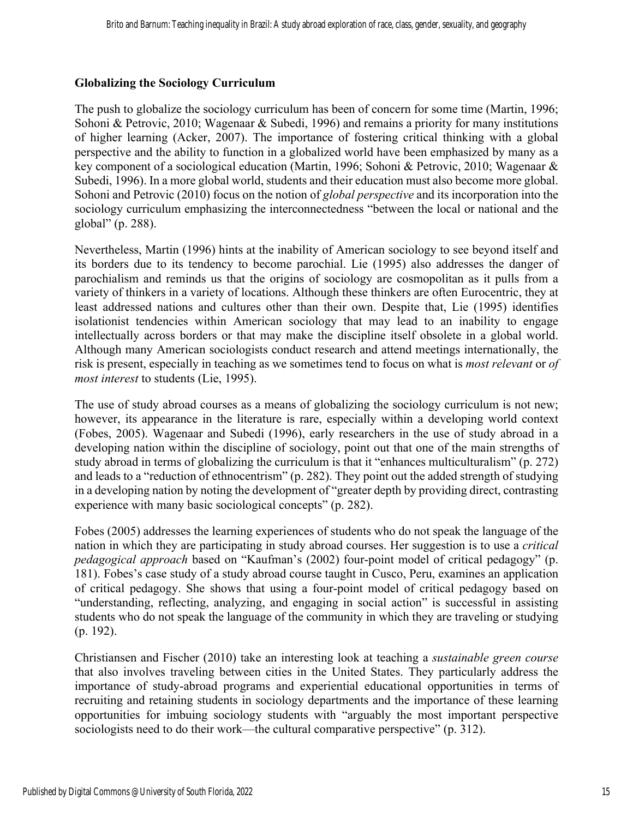# **Globalizing the Sociology Curriculum**

The push to globalize the sociology curriculum has been of concern for some time (Martin, 1996; Sohoni & Petrovic, 2010; Wagenaar & Subedi, 1996) and remains a priority for many institutions of higher learning (Acker, 2007). The importance of fostering critical thinking with a global perspective and the ability to function in a globalized world have been emphasized by many as a key component of a sociological education (Martin, 1996; Sohoni & Petrovic, 2010; Wagenaar & Subedi, 1996). In a more global world, students and their education must also become more global. Sohoni and Petrovic (2010) focus on the notion of *global perspective* and its incorporation into the sociology curriculum emphasizing the interconnectedness "between the local or national and the global" (p. 288).

Nevertheless, Martin (1996) hints at the inability of American sociology to see beyond itself and its borders due to its tendency to become parochial. Lie (1995) also addresses the danger of parochialism and reminds us that the origins of sociology are cosmopolitan as it pulls from a variety of thinkers in a variety of locations. Although these thinkers are often Eurocentric, they at least addressed nations and cultures other than their own. Despite that, Lie (1995) identifies isolationist tendencies within American sociology that may lead to an inability to engage intellectually across borders or that may make the discipline itself obsolete in a global world. Although many American sociologists conduct research and attend meetings internationally, the risk is present, especially in teaching as we sometimes tend to focus on what is *most relevant* or *of most interest* to students (Lie, 1995).

The use of study abroad courses as a means of globalizing the sociology curriculum is not new; however, its appearance in the literature is rare, especially within a developing world context (Fobes, 2005). Wagenaar and Subedi (1996), early researchers in the use of study abroad in a developing nation within the discipline of sociology, point out that one of the main strengths of study abroad in terms of globalizing the curriculum is that it "enhances multiculturalism" (p. 272) and leads to a "reduction of ethnocentrism" (p. 282). They point out the added strength of studying in a developing nation by noting the development of "greater depth by providing direct, contrasting experience with many basic sociological concepts" (p. 282).

Fobes (2005) addresses the learning experiences of students who do not speak the language of the nation in which they are participating in study abroad courses. Her suggestion is to use a *critical pedagogical approach* based on "Kaufman's (2002) four-point model of critical pedagogy" (p. 181). Fobes's case study of a study abroad course taught in Cusco, Peru, examines an application of critical pedagogy. She shows that using a four-point model of critical pedagogy based on "understanding, reflecting, analyzing, and engaging in social action" is successful in assisting students who do not speak the language of the community in which they are traveling or studying (p. 192).

Christiansen and Fischer (2010) take an interesting look at teaching a *sustainable green course* that also involves traveling between cities in the United States. They particularly address the importance of study-abroad programs and experiential educational opportunities in terms of recruiting and retaining students in sociology departments and the importance of these learning opportunities for imbuing sociology students with "arguably the most important perspective sociologists need to do their work—the cultural comparative perspective" (p. 312).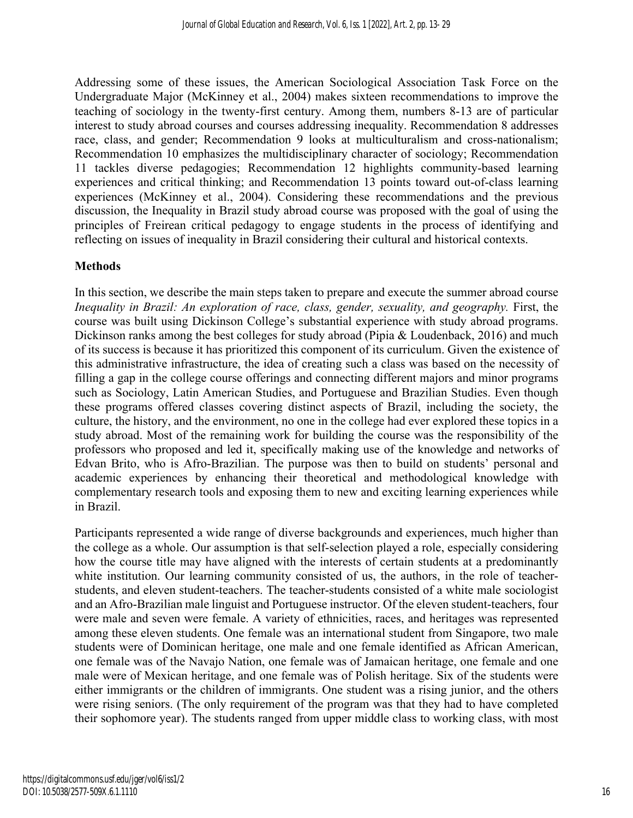Addressing some of these issues, the American Sociological Association Task Force on the Undergraduate Major (McKinney et al., 2004) makes sixteen recommendations to improve the teaching of sociology in the twenty-first century. Among them, numbers 8-13 are of particular interest to study abroad courses and courses addressing inequality. Recommendation 8 addresses race, class, and gender; Recommendation 9 looks at multiculturalism and cross-nationalism; Recommendation 10 emphasizes the multidisciplinary character of sociology; Recommendation 11 tackles diverse pedagogies; Recommendation 12 highlights community-based learning experiences and critical thinking; and Recommendation 13 points toward out-of-class learning experiences (McKinney et al., 2004). Considering these recommendations and the previous discussion, the Inequality in Brazil study abroad course was proposed with the goal of using the principles of Freirean critical pedagogy to engage students in the process of identifying and reflecting on issues of inequality in Brazil considering their cultural and historical contexts.

# **Methods**

In this section, we describe the main steps taken to prepare and execute the summer abroad course *Inequality in Brazil: An exploration of race, class, gender, sexuality, and geography.* First, the course was built using Dickinson College's substantial experience with study abroad programs. Dickinson ranks among the best colleges for study abroad (Pipia & Loudenback, 2016) and much of its success is because it has prioritized this component of its curriculum. Given the existence of this administrative infrastructure, the idea of creating such a class was based on the necessity of filling a gap in the college course offerings and connecting different majors and minor programs such as Sociology, Latin American Studies, and Portuguese and Brazilian Studies. Even though these programs offered classes covering distinct aspects of Brazil, including the society, the culture, the history, and the environment, no one in the college had ever explored these topics in a study abroad. Most of the remaining work for building the course was the responsibility of the professors who proposed and led it, specifically making use of the knowledge and networks of Edvan Brito, who is Afro-Brazilian. The purpose was then to build on students' personal and academic experiences by enhancing their theoretical and methodological knowledge with complementary research tools and exposing them to new and exciting learning experiences while in Brazil.

Participants represented a wide range of diverse backgrounds and experiences, much higher than the college as a whole. Our assumption is that self-selection played a role, especially considering how the course title may have aligned with the interests of certain students at a predominantly white institution. Our learning community consisted of us, the authors, in the role of teacherstudents, and eleven student-teachers. The teacher-students consisted of a white male sociologist and an Afro-Brazilian male linguist and Portuguese instructor. Of the eleven student-teachers, four were male and seven were female. A variety of ethnicities, races, and heritages was represented among these eleven students. One female was an international student from Singapore, two male students were of Dominican heritage, one male and one female identified as African American, one female was of the Navajo Nation, one female was of Jamaican heritage, one female and one male were of Mexican heritage, and one female was of Polish heritage. Six of the students were either immigrants or the children of immigrants. One student was a rising junior, and the others were rising seniors. (The only requirement of the program was that they had to have completed their sophomore year). The students ranged from upper middle class to working class, with most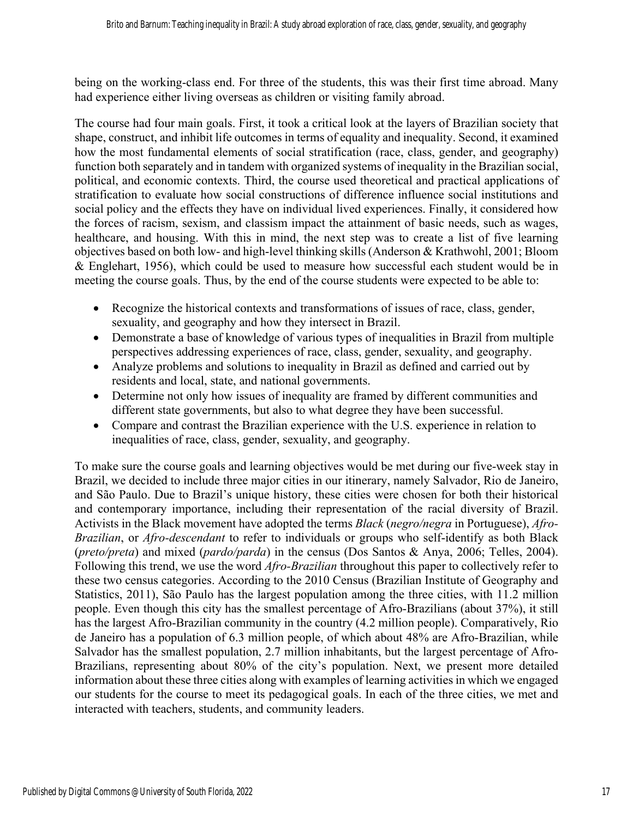being on the working-class end. For three of the students, this was their first time abroad. Many had experience either living overseas as children or visiting family abroad.

The course had four main goals. First, it took a critical look at the layers of Brazilian society that shape, construct, and inhibit life outcomes in terms of equality and inequality. Second, it examined how the most fundamental elements of social stratification (race, class, gender, and geography) function both separately and in tandem with organized systems of inequality in the Brazilian social, political, and economic contexts. Third, the course used theoretical and practical applications of stratification to evaluate how social constructions of difference influence social institutions and social policy and the effects they have on individual lived experiences. Finally, it considered how the forces of racism, sexism, and classism impact the attainment of basic needs, such as wages, healthcare, and housing. With this in mind, the next step was to create a list of five learning objectives based on both low- and high-level thinking skills (Anderson & Krathwohl, 2001; Bloom & Englehart, 1956), which could be used to measure how successful each student would be in meeting the course goals. Thus, by the end of the course students were expected to be able to:

- Recognize the historical contexts and transformations of issues of race, class, gender, sexuality, and geography and how they intersect in Brazil.
- Demonstrate a base of knowledge of various types of inequalities in Brazil from multiple perspectives addressing experiences of race, class, gender, sexuality, and geography.
- Analyze problems and solutions to inequality in Brazil as defined and carried out by residents and local, state, and national governments.
- Determine not only how issues of inequality are framed by different communities and different state governments, but also to what degree they have been successful.
- Compare and contrast the Brazilian experience with the U.S. experience in relation to inequalities of race, class, gender, sexuality, and geography.

To make sure the course goals and learning objectives would be met during our five-week stay in Brazil, we decided to include three major cities in our itinerary, namely Salvador, Rio de Janeiro, and São Paulo. Due to Brazil's unique history, these cities were chosen for both their historical and contemporary importance, including their representation of the racial diversity of Brazil. Activists in the Black movement have adopted the terms *Black* (*negro/negra* in Portuguese), *Afro-Brazilian*, or *Afro-descendant* to refer to individuals or groups who self-identify as both Black (*preto/preta*) and mixed (*pardo/parda*) in the census (Dos Santos & Anya, 2006; Telles, 2004). Following this trend, we use the word *Afro-Brazilian* throughout this paper to collectively refer to these two census categories. According to the 2010 Census (Brazilian Institute of Geography and Statistics, 2011), São Paulo has the largest population among the three cities, with 11.2 million people. Even though this city has the smallest percentage of Afro-Brazilians (about 37%), it still has the largest Afro-Brazilian community in the country (4.2 million people). Comparatively, Rio de Janeiro has a population of 6.3 million people, of which about 48% are Afro-Brazilian, while Salvador has the smallest population, 2.7 million inhabitants, but the largest percentage of Afro-Brazilians, representing about 80% of the city's population. Next, we present more detailed information about these three cities along with examples of learning activities in which we engaged our students for the course to meet its pedagogical goals. In each of the three cities, we met and interacted with teachers, students, and community leaders.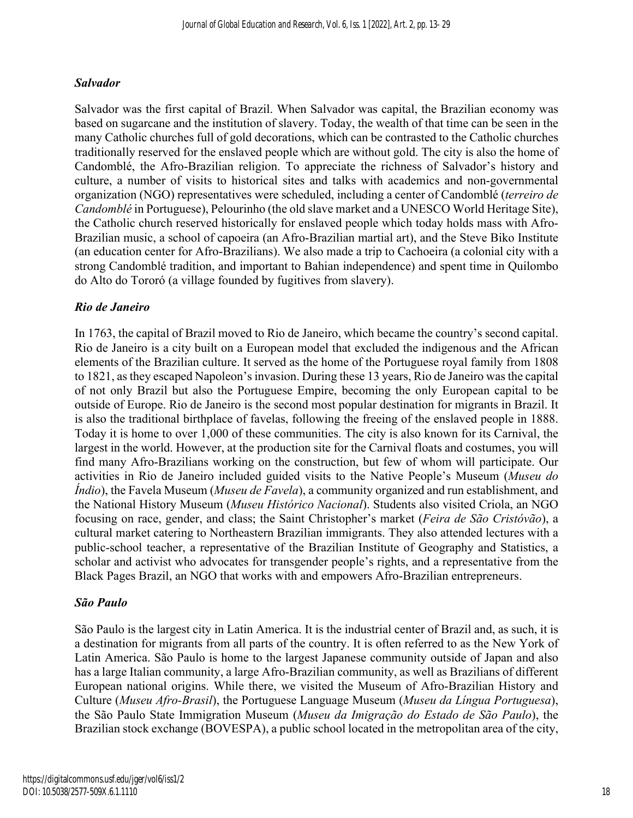# *Salvador*

Salvador was the first capital of Brazil. When Salvador was capital, the Brazilian economy was based on sugarcane and the institution of slavery. Today, the wealth of that time can be seen in the many Catholic churches full of gold decorations, which can be contrasted to the Catholic churches traditionally reserved for the enslaved people which are without gold. The city is also the home of Candomblé, the Afro-Brazilian religion. To appreciate the richness of Salvador's history and culture, a number of visits to historical sites and talks with academics and non-governmental organization (NGO) representatives were scheduled, including a center of Candomblé (*terreiro de Candomblé* in Portuguese), Pelourinho (the old slave market and a UNESCO World Heritage Site), the Catholic church reserved historically for enslaved people which today holds mass with Afro-Brazilian music, a school of capoeira (an Afro-Brazilian martial art), and the Steve Biko Institute (an education center for Afro-Brazilians). We also made a trip to Cachoeira (a colonial city with a strong Candomblé tradition, and important to Bahian independence) and spent time in Quilombo do Alto do Tororó (a village founded by fugitives from slavery).

# *Rio de Janeiro*

In 1763, the capital of Brazil moved to Rio de Janeiro, which became the country's second capital. Rio de Janeiro is a city built on a European model that excluded the indigenous and the African elements of the Brazilian culture. It served as the home of the Portuguese royal family from 1808 to 1821, as they escaped Napoleon's invasion. During these 13 years, Rio de Janeiro was the capital of not only Brazil but also the Portuguese Empire, becoming the only European capital to be outside of Europe. Rio de Janeiro is the second most popular destination for migrants in Brazil. It is also the traditional birthplace of favelas, following the freeing of the enslaved people in 1888. Today it is home to over 1,000 of these communities. The city is also known for its Carnival, the largest in the world. However, at the production site for the Carnival floats and costumes, you will find many Afro-Brazilians working on the construction, but few of whom will participate. Our activities in Rio de Janeiro included guided visits to the Native People's Museum (*Museu do Índio*), the Favela Museum (*Museu de Favela*), a community organized and run establishment, and the National History Museum (*Museu Histórico Nacional*). Students also visited Criola, an NGO focusing on race, gender, and class; the Saint Christopher's market (*Feira de São Cristóvão*), a cultural market catering to Northeastern Brazilian immigrants. They also attended lectures with a public-school teacher, a representative of the Brazilian Institute of Geography and Statistics, a scholar and activist who advocates for transgender people's rights, and a representative from the Black Pages Brazil, an NGO that works with and empowers Afro-Brazilian entrepreneurs.

# *São Paulo*

São Paulo is the largest city in Latin America. It is the industrial center of Brazil and, as such, it is a destination for migrants from all parts of the country. It is often referred to as the New York of Latin America. São Paulo is home to the largest Japanese community outside of Japan and also has a large Italian community, a large Afro-Brazilian community, as well as Brazilians of different European national origins. While there, we visited the Museum of Afro-Brazilian History and Culture (*Museu Afro-Brasil*), the Portuguese Language Museum (*Museu da Língua Portuguesa*), the São Paulo State Immigration Museum (*Museu da Imigração do Estado de São Paulo*), the Brazilian stock exchange (BOVESPA), a public school located in the metropolitan area of the city,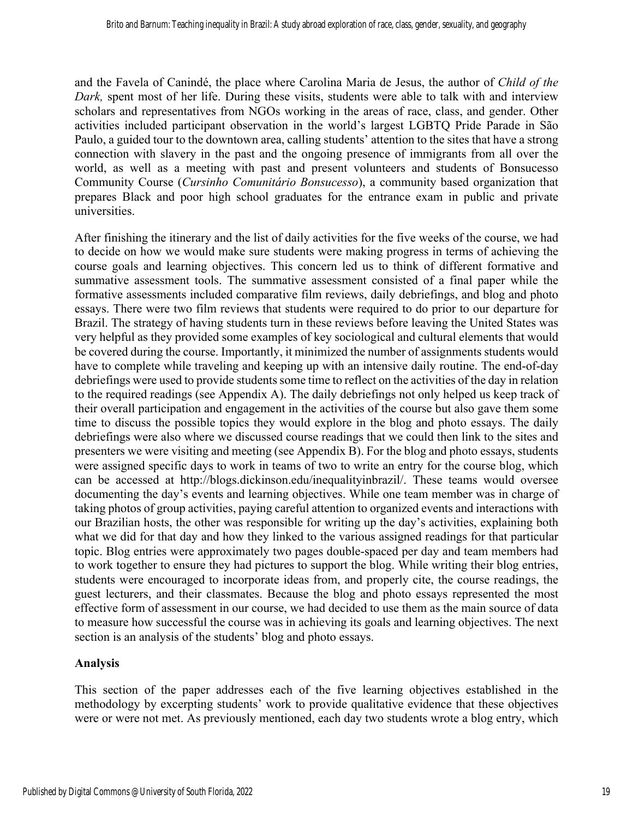and the Favela of Canindé, the place where Carolina Maria de Jesus, the author of *Child of the Dark,* spent most of her life. During these visits, students were able to talk with and interview scholars and representatives from NGOs working in the areas of race, class, and gender. Other activities included participant observation in the world's largest LGBTQ Pride Parade in São Paulo, a guided tour to the downtown area, calling students' attention to the sites that have a strong connection with slavery in the past and the ongoing presence of immigrants from all over the world, as well as a meeting with past and present volunteers and students of Bonsucesso Community Course (*Cursinho Comunitário Bonsucesso*), a community based organization that prepares Black and poor high school graduates for the entrance exam in public and private universities.

After finishing the itinerary and the list of daily activities for the five weeks of the course, we had to decide on how we would make sure students were making progress in terms of achieving the course goals and learning objectives. This concern led us to think of different formative and summative assessment tools. The summative assessment consisted of a final paper while the formative assessments included comparative film reviews, daily debriefings, and blog and photo essays. There were two film reviews that students were required to do prior to our departure for Brazil. The strategy of having students turn in these reviews before leaving the United States was very helpful as they provided some examples of key sociological and cultural elements that would be covered during the course. Importantly, it minimized the number of assignments students would have to complete while traveling and keeping up with an intensive daily routine. The end-of-day debriefings were used to provide students some time to reflect on the activities of the day in relation to the required readings (see Appendix A). The daily debriefings not only helped us keep track of their overall participation and engagement in the activities of the course but also gave them some time to discuss the possible topics they would explore in the blog and photo essays. The daily debriefings were also where we discussed course readings that we could then link to the sites and presenters we were visiting and meeting (see Appendix B). For the blog and photo essays, students were assigned specific days to work in teams of two to write an entry for the course blog, which can be accessed at http://blogs.dickinson.edu/inequalityinbrazil/. These teams would oversee documenting the day's events and learning objectives. While one team member was in charge of taking photos of group activities, paying careful attention to organized events and interactions with our Brazilian hosts, the other was responsible for writing up the day's activities, explaining both what we did for that day and how they linked to the various assigned readings for that particular topic. Blog entries were approximately two pages double-spaced per day and team members had to work together to ensure they had pictures to support the blog. While writing their blog entries, students were encouraged to incorporate ideas from, and properly cite, the course readings, the guest lecturers, and their classmates. Because the blog and photo essays represented the most effective form of assessment in our course, we had decided to use them as the main source of data to measure how successful the course was in achieving its goals and learning objectives. The next section is an analysis of the students' blog and photo essays.

# **Analysis**

This section of the paper addresses each of the five learning objectives established in the methodology by excerpting students' work to provide qualitative evidence that these objectives were or were not met. As previously mentioned, each day two students wrote a blog entry, which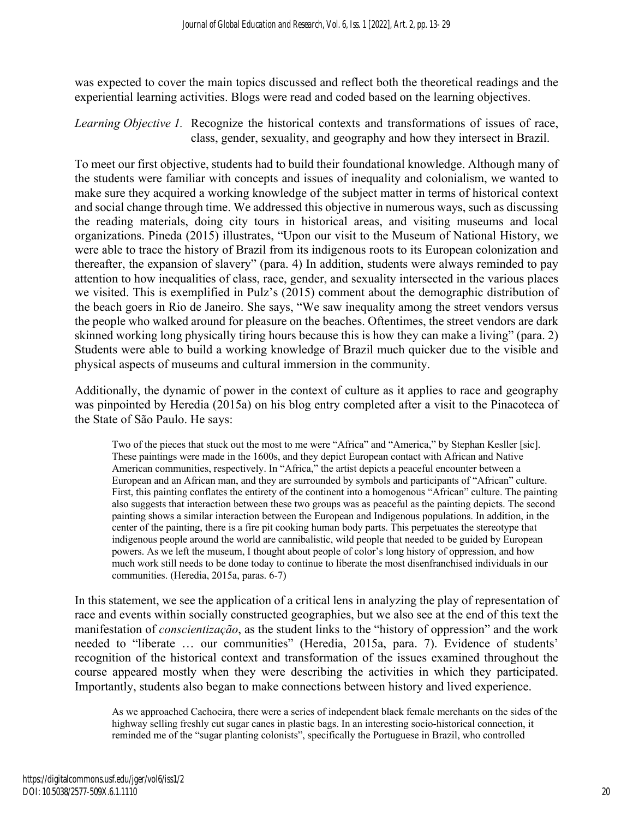was expected to cover the main topics discussed and reflect both the theoretical readings and the experiential learning activities. Blogs were read and coded based on the learning objectives.

*Learning Objective 1.* Recognize the historical contexts and transformations of issues of race, class, gender, sexuality, and geography and how they intersect in Brazil.

To meet our first objective, students had to build their foundational knowledge. Although many of the students were familiar with concepts and issues of inequality and colonialism, we wanted to make sure they acquired a working knowledge of the subject matter in terms of historical context and social change through time. We addressed this objective in numerous ways, such as discussing the reading materials, doing city tours in historical areas, and visiting museums and local organizations. Pineda (2015) illustrates, "Upon our visit to the Museum of National History, we were able to trace the history of Brazil from its indigenous roots to its European colonization and thereafter, the expansion of slavery" (para. 4) In addition, students were always reminded to pay attention to how inequalities of class, race, gender, and sexuality intersected in the various places we visited. This is exemplified in Pulz's (2015) comment about the demographic distribution of the beach goers in Rio de Janeiro. She says, "We saw inequality among the street vendors versus the people who walked around for pleasure on the beaches. Oftentimes, the street vendors are dark skinned working long physically tiring hours because this is how they can make a living" (para. 2) Students were able to build a working knowledge of Brazil much quicker due to the visible and physical aspects of museums and cultural immersion in the community.

Additionally, the dynamic of power in the context of culture as it applies to race and geography was pinpointed by Heredia (2015a) on his blog entry completed after a visit to the Pinacoteca of the State of São Paulo. He says:

Two of the pieces that stuck out the most to me were "Africa" and "America," by Stephan Kesller [sic]. These paintings were made in the 1600s, and they depict European contact with African and Native American communities, respectively. In "Africa," the artist depicts a peaceful encounter between a European and an African man, and they are surrounded by symbols and participants of "African" culture. First, this painting conflates the entirety of the continent into a homogenous "African" culture. The painting also suggests that interaction between these two groups was as peaceful as the painting depicts. The second painting shows a similar interaction between the European and Indigenous populations. In addition, in the center of the painting, there is a fire pit cooking human body parts. This perpetuates the stereotype that indigenous people around the world are cannibalistic, wild people that needed to be guided by European powers. As we left the museum, I thought about people of color's long history of oppression, and how much work still needs to be done today to continue to liberate the most disenfranchised individuals in our communities. (Heredia, 2015a, paras. 6-7)

In this statement, we see the application of a critical lens in analyzing the play of representation of race and events within socially constructed geographies, but we also see at the end of this text the manifestation of *conscientização*, as the student links to the "history of oppression" and the work needed to "liberate … our communities" (Heredia, 2015a, para. 7). Evidence of students' recognition of the historical context and transformation of the issues examined throughout the course appeared mostly when they were describing the activities in which they participated. Importantly, students also began to make connections between history and lived experience.

As we approached Cachoeira, there were a series of independent black female merchants on the sides of the highway selling freshly cut sugar canes in plastic bags. In an interesting socio-historical connection, it reminded me of the "sugar planting colonists", specifically the Portuguese in Brazil, who controlled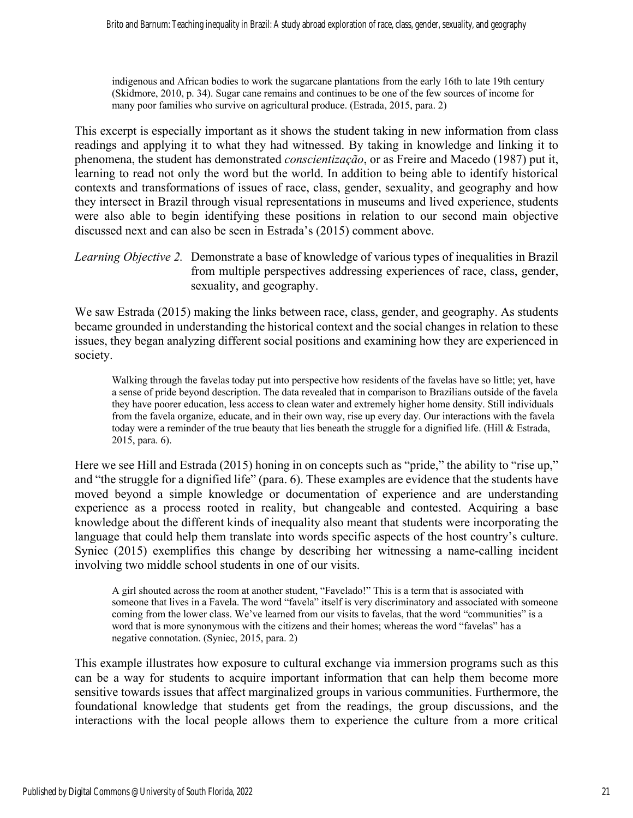indigenous and African bodies to work the sugarcane plantations from the early 16th to late 19th century (Skidmore, 2010, p. 34). Sugar cane remains and continues to be one of the few sources of income for many poor families who survive on agricultural produce. (Estrada, 2015, para. 2)

This excerpt is especially important as it shows the student taking in new information from class readings and applying it to what they had witnessed. By taking in knowledge and linking it to phenomena, the student has demonstrated *conscientização*, or as Freire and Macedo (1987) put it, learning to read not only the word but the world. In addition to being able to identify historical contexts and transformations of issues of race, class, gender, sexuality, and geography and how they intersect in Brazil through visual representations in museums and lived experience, students were also able to begin identifying these positions in relation to our second main objective discussed next and can also be seen in Estrada's (2015) comment above.

*Learning Objective 2.* Demonstrate a base of knowledge of various types of inequalities in Brazil from multiple perspectives addressing experiences of race, class, gender, sexuality, and geography.

We saw Estrada (2015) making the links between race, class, gender, and geography. As students became grounded in understanding the historical context and the social changes in relation to these issues, they began analyzing different social positions and examining how they are experienced in society.

Walking through the favelas today put into perspective how residents of the favelas have so little; yet, have a sense of pride beyond description. The data revealed that in comparison to Brazilians outside of the favela they have poorer education, less access to clean water and extremely higher home density. Still individuals from the favela organize, educate, and in their own way, rise up every day. Our interactions with the favela today were a reminder of the true beauty that lies beneath the struggle for a dignified life. (Hill & Estrada, 2015, para. 6).

Here we see Hill and Estrada (2015) honing in on concepts such as "pride," the ability to "rise up," and "the struggle for a dignified life" (para. 6). These examples are evidence that the students have moved beyond a simple knowledge or documentation of experience and are understanding experience as a process rooted in reality, but changeable and contested. Acquiring a base knowledge about the different kinds of inequality also meant that students were incorporating the language that could help them translate into words specific aspects of the host country's culture. Syniec (2015) exemplifies this change by describing her witnessing a name-calling incident involving two middle school students in one of our visits.

A girl shouted across the room at another student, "Favelado!" This is a term that is associated with someone that lives in a Favela. The word "favela" itself is very discriminatory and associated with someone coming from the lower class. We've learned from our visits to favelas, that the word "communities" is a word that is more synonymous with the citizens and their homes; whereas the word "favelas" has a negative connotation. (Syniec, 2015, para. 2)

This example illustrates how exposure to cultural exchange via immersion programs such as this can be a way for students to acquire important information that can help them become more sensitive towards issues that affect marginalized groups in various communities. Furthermore, the foundational knowledge that students get from the readings, the group discussions, and the interactions with the local people allows them to experience the culture from a more critical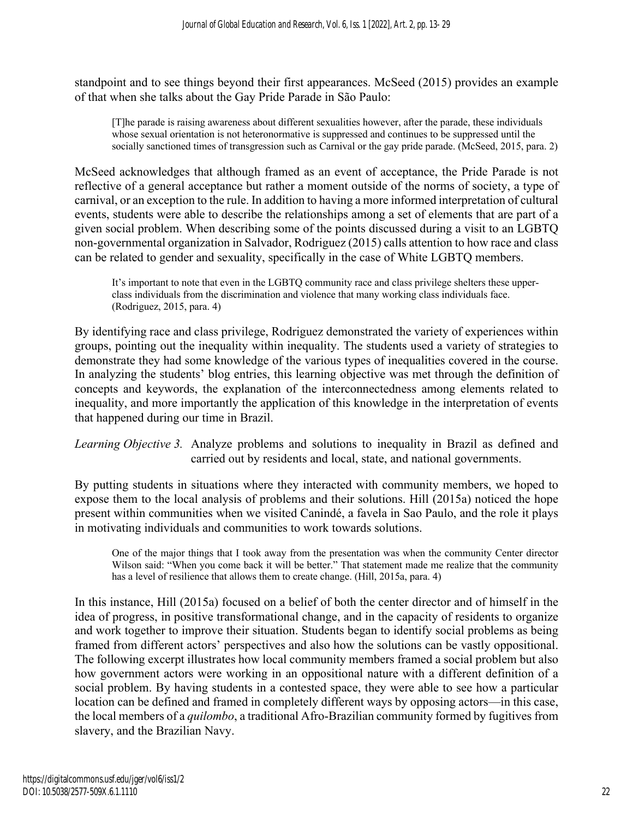standpoint and to see things beyond their first appearances. McSeed (2015) provides an example of that when she talks about the Gay Pride Parade in São Paulo:

[T]he parade is raising awareness about different sexualities however, after the parade, these individuals whose sexual orientation is not heteronormative is suppressed and continues to be suppressed until the socially sanctioned times of transgression such as Carnival or the gay pride parade. (McSeed, 2015, para. 2)

McSeed acknowledges that although framed as an event of acceptance, the Pride Parade is not reflective of a general acceptance but rather a moment outside of the norms of society, a type of carnival, or an exception to the rule. In addition to having a more informed interpretation of cultural events, students were able to describe the relationships among a set of elements that are part of a given social problem. When describing some of the points discussed during a visit to an LGBTQ non-governmental organization in Salvador, Rodriguez (2015) calls attention to how race and class can be related to gender and sexuality, specifically in the case of White LGBTQ members.

It's important to note that even in the LGBTQ community race and class privilege shelters these upperclass individuals from the discrimination and violence that many working class individuals face. (Rodriguez, 2015, para. 4)

By identifying race and class privilege, Rodriguez demonstrated the variety of experiences within groups, pointing out the inequality within inequality. The students used a variety of strategies to demonstrate they had some knowledge of the various types of inequalities covered in the course. In analyzing the students' blog entries, this learning objective was met through the definition of concepts and keywords, the explanation of the interconnectedness among elements related to inequality, and more importantly the application of this knowledge in the interpretation of events that happened during our time in Brazil.

*Learning Objective 3.* Analyze problems and solutions to inequality in Brazil as defined and carried out by residents and local, state, and national governments.

By putting students in situations where they interacted with community members, we hoped to expose them to the local analysis of problems and their solutions. Hill (2015a) noticed the hope present within communities when we visited Canindé, a favela in Sao Paulo, and the role it plays in motivating individuals and communities to work towards solutions.

One of the major things that I took away from the presentation was when the community Center director Wilson said: "When you come back it will be better." That statement made me realize that the community has a level of resilience that allows them to create change. (Hill, 2015a, para. 4)

In this instance, Hill (2015a) focused on a belief of both the center director and of himself in the idea of progress, in positive transformational change, and in the capacity of residents to organize and work together to improve their situation. Students began to identify social problems as being framed from different actors' perspectives and also how the solutions can be vastly oppositional. The following excerpt illustrates how local community members framed a social problem but also how government actors were working in an oppositional nature with a different definition of a social problem. By having students in a contested space, they were able to see how a particular location can be defined and framed in completely different ways by opposing actors—in this case, the local members of a *quilombo*, a traditional Afro-Brazilian community formed by fugitives from slavery, and the Brazilian Navy.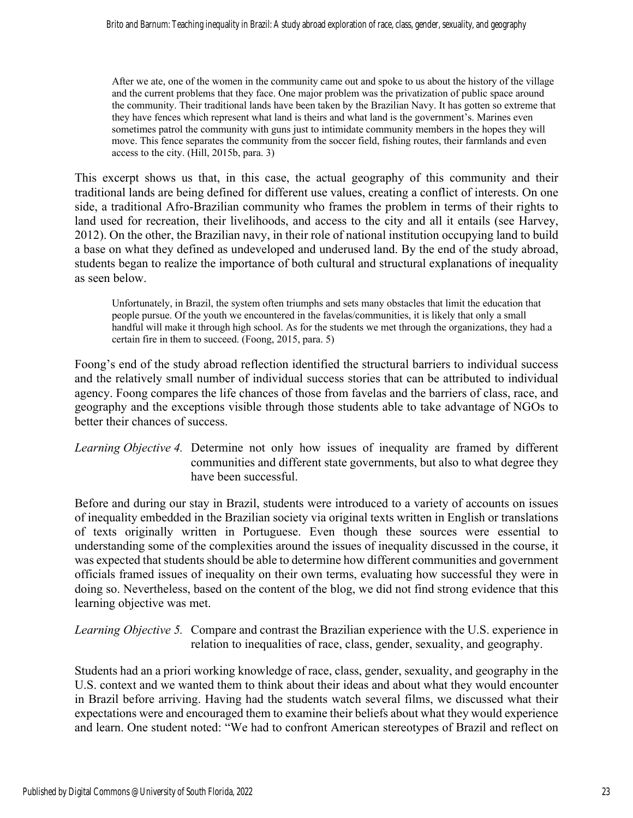After we ate, one of the women in the community came out and spoke to us about the history of the village and the current problems that they face. One major problem was the privatization of public space around the community. Their traditional lands have been taken by the Brazilian Navy. It has gotten so extreme that they have fences which represent what land is theirs and what land is the government's. Marines even sometimes patrol the community with guns just to intimidate community members in the hopes they will move. This fence separates the community from the soccer field, fishing routes, their farmlands and even access to the city. (Hill, 2015b, para. 3)

This excerpt shows us that, in this case, the actual geography of this community and their traditional lands are being defined for different use values, creating a conflict of interests. On one side, a traditional Afro-Brazilian community who frames the problem in terms of their rights to land used for recreation, their livelihoods, and access to the city and all it entails (see Harvey, 2012). On the other, the Brazilian navy, in their role of national institution occupying land to build a base on what they defined as undeveloped and underused land. By the end of the study abroad, students began to realize the importance of both cultural and structural explanations of inequality as seen below.

Unfortunately, in Brazil, the system often triumphs and sets many obstacles that limit the education that people pursue. Of the youth we encountered in the favelas/communities, it is likely that only a small handful will make it through high school. As for the students we met through the organizations, they had a certain fire in them to succeed. (Foong, 2015, para. 5)

Foong's end of the study abroad reflection identified the structural barriers to individual success and the relatively small number of individual success stories that can be attributed to individual agency. Foong compares the life chances of those from favelas and the barriers of class, race, and geography and the exceptions visible through those students able to take advantage of NGOs to better their chances of success.

*Learning Objective 4.* Determine not only how issues of inequality are framed by different communities and different state governments, but also to what degree they have been successful.

Before and during our stay in Brazil, students were introduced to a variety of accounts on issues of inequality embedded in the Brazilian society via original texts written in English or translations of texts originally written in Portuguese. Even though these sources were essential to understanding some of the complexities around the issues of inequality discussed in the course, it was expected that students should be able to determine how different communities and government officials framed issues of inequality on their own terms, evaluating how successful they were in doing so. Nevertheless, based on the content of the blog, we did not find strong evidence that this learning objective was met.

*Learning Objective 5.* Compare and contrast the Brazilian experience with the U.S. experience in relation to inequalities of race, class, gender, sexuality, and geography.

Students had an a priori working knowledge of race, class, gender, sexuality, and geography in the U.S. context and we wanted them to think about their ideas and about what they would encounter in Brazil before arriving. Having had the students watch several films, we discussed what their expectations were and encouraged them to examine their beliefs about what they would experience and learn. One student noted: "We had to confront American stereotypes of Brazil and reflect on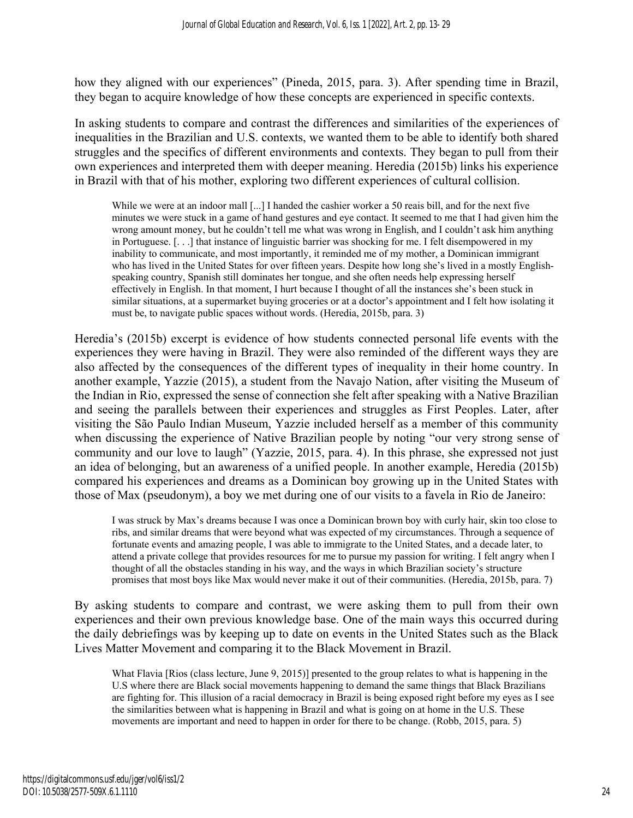how they aligned with our experiences" (Pineda, 2015, para. 3). After spending time in Brazil, they began to acquire knowledge of how these concepts are experienced in specific contexts.

In asking students to compare and contrast the differences and similarities of the experiences of inequalities in the Brazilian and U.S. contexts, we wanted them to be able to identify both shared struggles and the specifics of different environments and contexts. They began to pull from their own experiences and interpreted them with deeper meaning. Heredia (2015b) links his experience in Brazil with that of his mother, exploring two different experiences of cultural collision.

While we were at an indoor mall [...] I handed the cashier worker a 50 reais bill, and for the next five minutes we were stuck in a game of hand gestures and eye contact. It seemed to me that I had given him the wrong amount money, but he couldn't tell me what was wrong in English, and I couldn't ask him anything in Portuguese. [. . .] that instance of linguistic barrier was shocking for me. I felt disempowered in my inability to communicate, and most importantly, it reminded me of my mother, a Dominican immigrant who has lived in the United States for over fifteen years. Despite how long she's lived in a mostly Englishspeaking country, Spanish still dominates her tongue, and she often needs help expressing herself effectively in English. In that moment, I hurt because I thought of all the instances she's been stuck in similar situations, at a supermarket buying groceries or at a doctor's appointment and I felt how isolating it must be, to navigate public spaces without words. (Heredia, 2015b, para. 3)

Heredia's (2015b) excerpt is evidence of how students connected personal life events with the experiences they were having in Brazil. They were also reminded of the different ways they are also affected by the consequences of the different types of inequality in their home country. In another example, Yazzie (2015), a student from the Navajo Nation, after visiting the Museum of the Indian in Rio, expressed the sense of connection she felt after speaking with a Native Brazilian and seeing the parallels between their experiences and struggles as First Peoples. Later, after visiting the São Paulo Indian Museum, Yazzie included herself as a member of this community when discussing the experience of Native Brazilian people by noting "our very strong sense of community and our love to laugh" (Yazzie, 2015, para. 4). In this phrase, she expressed not just an idea of belonging, but an awareness of a unified people. In another example, Heredia (2015b) compared his experiences and dreams as a Dominican boy growing up in the United States with those of Max (pseudonym), a boy we met during one of our visits to a favela in Rio de Janeiro:

I was struck by Max's dreams because I was once a Dominican brown boy with curly hair, skin too close to ribs, and similar dreams that were beyond what was expected of my circumstances. Through a sequence of fortunate events and amazing people, I was able to immigrate to the United States, and a decade later, to attend a private college that provides resources for me to pursue my passion for writing. I felt angry when I thought of all the obstacles standing in his way, and the ways in which Brazilian society's structure promises that most boys like Max would never make it out of their communities. (Heredia, 2015b, para. 7)

By asking students to compare and contrast, we were asking them to pull from their own experiences and their own previous knowledge base. One of the main ways this occurred during the daily debriefings was by keeping up to date on events in the United States such as the Black Lives Matter Movement and comparing it to the Black Movement in Brazil.

What Flavia [Rios (class lecture, June 9, 2015)] presented to the group relates to what is happening in the U.S where there are Black social movements happening to demand the same things that Black Brazilians are fighting for. This illusion of a racial democracy in Brazil is being exposed right before my eyes as I see the similarities between what is happening in Brazil and what is going on at home in the U.S. These movements are important and need to happen in order for there to be change. (Robb, 2015, para. 5)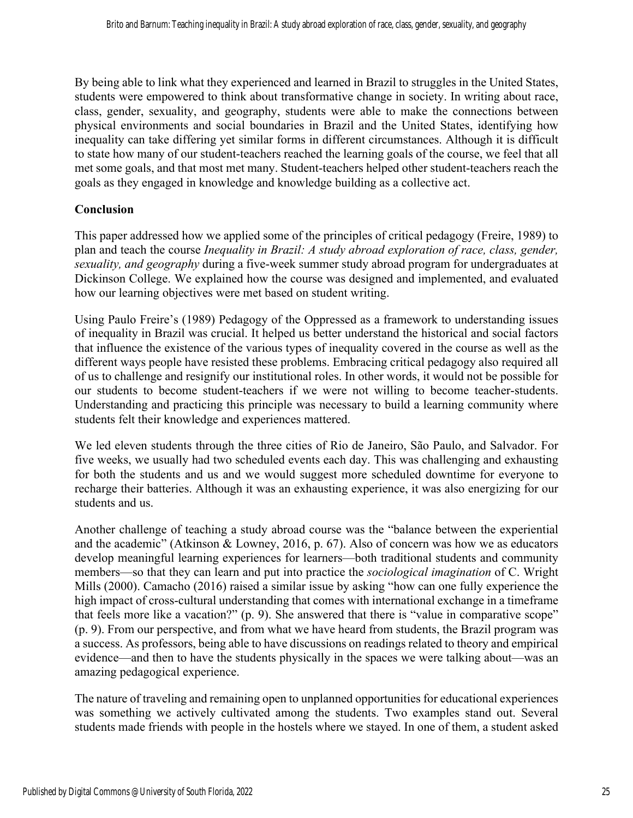By being able to link what they experienced and learned in Brazil to struggles in the United States, students were empowered to think about transformative change in society. In writing about race, class, gender, sexuality, and geography, students were able to make the connections between physical environments and social boundaries in Brazil and the United States, identifying how inequality can take differing yet similar forms in different circumstances. Although it is difficult to state how many of our student-teachers reached the learning goals of the course, we feel that all met some goals, and that most met many. Student-teachers helped other student-teachers reach the goals as they engaged in knowledge and knowledge building as a collective act.

#### **Conclusion**

This paper addressed how we applied some of the principles of critical pedagogy (Freire, 1989) to plan and teach the course *Inequality in Brazil: A study abroad exploration of race, class, gender, sexuality, and geography* during a five-week summer study abroad program for undergraduates at Dickinson College. We explained how the course was designed and implemented, and evaluated how our learning objectives were met based on student writing.

Using Paulo Freire's (1989) Pedagogy of the Oppressed as a framework to understanding issues of inequality in Brazil was crucial. It helped us better understand the historical and social factors that influence the existence of the various types of inequality covered in the course as well as the different ways people have resisted these problems. Embracing critical pedagogy also required all of us to challenge and resignify our institutional roles. In other words, it would not be possible for our students to become student-teachers if we were not willing to become teacher-students. Understanding and practicing this principle was necessary to build a learning community where students felt their knowledge and experiences mattered.

We led eleven students through the three cities of Rio de Janeiro, São Paulo, and Salvador. For five weeks, we usually had two scheduled events each day. This was challenging and exhausting for both the students and us and we would suggest more scheduled downtime for everyone to recharge their batteries. Although it was an exhausting experience, it was also energizing for our students and us.

Another challenge of teaching a study abroad course was the "balance between the experiential and the academic" (Atkinson & Lowney, 2016, p. 67). Also of concern was how we as educators develop meaningful learning experiences for learners—both traditional students and community members—so that they can learn and put into practice the *sociological imagination* of C. Wright Mills (2000). Camacho (2016) raised a similar issue by asking "how can one fully experience the high impact of cross-cultural understanding that comes with international exchange in a timeframe that feels more like a vacation?" (p. 9). She answered that there is "value in comparative scope" (p. 9). From our perspective, and from what we have heard from students, the Brazil program was a success. As professors, being able to have discussions on readings related to theory and empirical evidence—and then to have the students physically in the spaces we were talking about—was an amazing pedagogical experience.

The nature of traveling and remaining open to unplanned opportunities for educational experiences was something we actively cultivated among the students. Two examples stand out. Several students made friends with people in the hostels where we stayed. In one of them, a student asked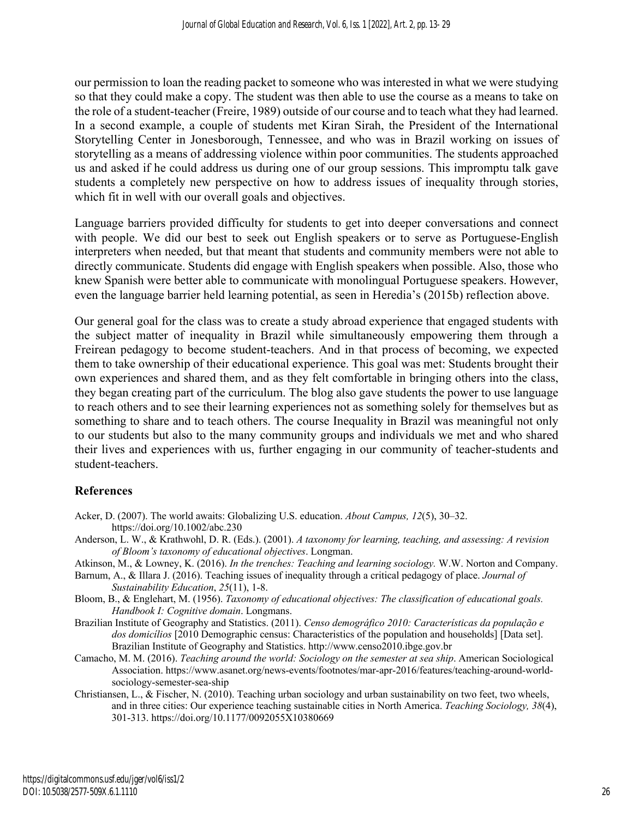our permission to loan the reading packet to someone who was interested in what we were studying so that they could make a copy. The student was then able to use the course as a means to take on the role of a student-teacher (Freire, 1989) outside of our course and to teach what they had learned. In a second example, a couple of students met Kiran Sirah, the President of the International Storytelling Center in Jonesborough, Tennessee, and who was in Brazil working on issues of storytelling as a means of addressing violence within poor communities. The students approached us and asked if he could address us during one of our group sessions. This impromptu talk gave students a completely new perspective on how to address issues of inequality through stories, which fit in well with our overall goals and objectives.

Language barriers provided difficulty for students to get into deeper conversations and connect with people. We did our best to seek out English speakers or to serve as Portuguese-English interpreters when needed, but that meant that students and community members were not able to directly communicate. Students did engage with English speakers when possible. Also, those who knew Spanish were better able to communicate with monolingual Portuguese speakers. However, even the language barrier held learning potential, as seen in Heredia's (2015b) reflection above.

Our general goal for the class was to create a study abroad experience that engaged students with the subject matter of inequality in Brazil while simultaneously empowering them through a Freirean pedagogy to become student-teachers. And in that process of becoming, we expected them to take ownership of their educational experience. This goal was met: Students brought their own experiences and shared them, and as they felt comfortable in bringing others into the class, they began creating part of the curriculum. The blog also gave students the power to use language to reach others and to see their learning experiences not as something solely for themselves but as something to share and to teach others. The course Inequality in Brazil was meaningful not only to our students but also to the many community groups and individuals we met and who shared their lives and experiences with us, further engaging in our community of teacher-students and student-teachers.

# **References**

- Acker, D. (2007). The world awaits: Globalizing U.S. education. *About Campus, 12*(5), 30–32. https://doi.org/10.1002/abc.230
- Anderson, L. W., & Krathwohl, D. R. (Eds.). (2001). *A taxonomy for learning, teaching, and assessing: A revision of Bloom's taxonomy of educational objectives*. Longman.
- Atkinson, M., & Lowney, K. (2016). *In the trenches: Teaching and learning sociology.* W.W. Norton and Company.
- Barnum, A., & Illara J. (2016). Teaching issues of inequality through a critical pedagogy of place. *Journal of Sustainability Education*, *25*(11), 1-8.
- Bloom, B., & Englehart, M. (1956). *Taxonomy of educational objectives: The classification of educational goals. Handbook I: Cognitive domain*. Longmans.
- Brazilian Institute of Geography and Statistics. (2011). *Censo demográfico 2010: Características da população e dos domicílios* [2010 Demographic census: Characteristics of the population and households] [Data set]. Brazilian Institute of Geography and Statistics. http://www.censo2010.ibge.gov.br
- Camacho, M. M. (2016). *Teaching around the world: Sociology on the semester at sea ship*. American Sociological Association. https://www.asanet.org/news-events/footnotes/mar-apr-2016/features/teaching-around-worldsociology-semester-sea-ship
- Christiansen, L., & Fischer, N. (2010). Teaching urban sociology and urban sustainability on two feet, two wheels, and in three cities: Our experience teaching sustainable cities in North America. *Teaching Sociology, 38*(4), 301-313. https://doi.org/10.1177/0092055X10380669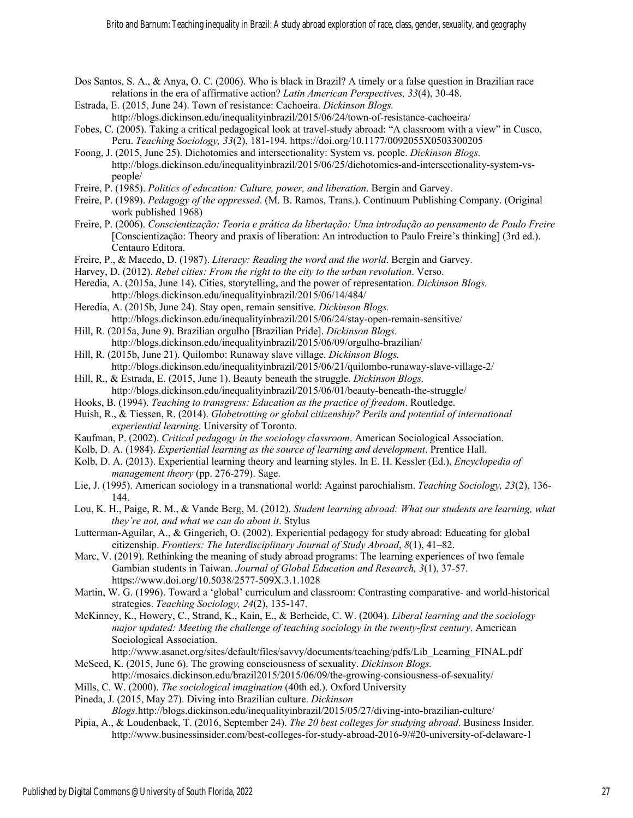- Dos Santos, S. A., & Anya, O. C. (2006). Who is black in Brazil? A timely or a false question in Brazilian race relations in the era of affirmative action? *Latin American Perspectives, 33*(4), 30-48.
- Estrada, E. (2015, June 24). Town of resistance: Cachoeira. *Dickinson Blogs.*  http://blogs.dickinson.edu/inequalityinbrazil/2015/06/24/town-of-resistance-cachoeira/
- Fobes, C. (2005). Taking a critical pedagogical look at travel-study abroad: "A classroom with a view" in Cusco, Peru. *Teaching Sociology, 33*(2), 181-194. https://doi.org/10.1177/0092055X0503300205
- Foong, J. (2015, June 25). Dichotomies and intersectionality: System vs. people. *Dickinson Blogs.*  http://blogs.dickinson.edu/inequalityinbrazil/2015/06/25/dichotomies-and-intersectionality-system-vspeople/
- Freire, P. (1985). *Politics of education: Culture, power, and liberation*. Bergin and Garvey.
- Freire, P. (1989). *Pedagogy of the oppressed*. (M. B. Ramos, Trans.). Continuum Publishing Company. (Original work published 1968)
- Freire, P. (2006). *Conscientização: Teoria e prática da libertação: Uma introdução ao pensamento de Paulo Freire* [Conscientização: Theory and praxis of liberation: An introduction to Paulo Freire's thinking] (3rd ed.). Centauro Editora.
- Freire, P., & Macedo, D. (1987). *Literacy: Reading the word and the world*. Bergin and Garvey.
- Harvey, D. (2012). *Rebel cities: From the right to the city to the urban revolution*. Verso.
- Heredia, A. (2015a, June 14). Cities, storytelling, and the power of representation. *Dickinson Blogs.*  http://blogs.dickinson.edu/inequalityinbrazil/2015/06/14/484/
- Heredia, A. (2015b, June 24). Stay open, remain sensitive. *Dickinson Blogs.*  http://blogs.dickinson.edu/inequalityinbrazil/2015/06/24/stay-open-remain-sensitive/
- Hill, R. (2015a, June 9). Brazilian orgulho [Brazilian Pride]. *Dickinson Blogs.*  http://blogs.dickinson.edu/inequalityinbrazil/2015/06/09/orgulho-brazilian/
- Hill, R. (2015b, June 21). Quilombo: Runaway slave village. *Dickinson Blogs.*  http://blogs.dickinson.edu/inequalityinbrazil/2015/06/21/quilombo-runaway-slave-village-2/
- Hill, R., & Estrada, E. (2015, June 1). Beauty beneath the struggle. *Dickinson Blogs.*  http://blogs.dickinson.edu/inequalityinbrazil/2015/06/01/beauty-beneath-the-struggle/
- Hooks, B. (1994). *Teaching to transgress: Education as the practice of freedom*. Routledge.
- Huish, R., & Tiessen, R. (2014). *Globetrotting or global citizenship? Perils and potential of international experiential learning*. University of Toronto.
- Kaufman, P. (2002). *Critical pedagogy in the sociology classroom*. American Sociological Association.
- Kolb, D. A. (1984). *Experiential learning as the source of learning and development*. Prentice Hall.
- Kolb, D. A. (2013). Experiential learning theory and learning styles. In E. H. Kessler (Ed.), *Encyclopedia of management theory* (pp. 276-279). Sage.
- Lie, J. (1995). American sociology in a transnational world: Against parochialism. *Teaching Sociology, 23*(2), 136- 144.
- Lou, K. H., Paige, R. M., & Vande Berg, M. (2012). *Student learning abroad: What our students are learning, what they're not, and what we can do about it*. Stylus
- Lutterman-Aguilar, A., & Gingerich, O. (2002). Experiential pedagogy for study abroad: Educating for global citizenship. *Frontiers: The Interdisciplinary Journal of Study Abroad*, *8*(1), 41–82.
- Marc, V. (2019). Rethinking the meaning of study abroad programs: The learning experiences of two female Gambian students in Taiwan. *Journal of Global Education and Research, 3*(1), 37-57. https://www.doi.org/10.5038/2577-509X.3.1.1028
- Martin, W. G. (1996). Toward a 'global' curriculum and classroom: Contrasting comparative- and world-historical strategies. *Teaching Sociology, 24*(2), 135-147.
- McKinney, K., Howery, C., Strand, K., Kain, E., & Berheide, C. W. (2004). *Liberal learning and the sociology major updated: Meeting the challenge of teaching sociology in the twenty-first century*. American Sociological Association.
- http://www.asanet.org/sites/default/files/savvy/documents/teaching/pdfs/Lib\_Learning\_FINAL.pdf McSeed, K. (2015, June 6). The growing consciousness of sexuality. *Dickinson Blogs.*
- http://mosaics.dickinson.edu/brazil2015/2015/06/09/the-growing-consiousness-of-sexuality/
- Mills, C. W. (2000). *The sociological imagination* (40th ed.). Oxford University
- Pineda, J. (2015, May 27). Diving into Brazilian culture. *Dickinson*

*Blogs.*http://blogs.dickinson.edu/inequalityinbrazil/2015/05/27/diving-into-brazilian-culture/

Pipia, A., & Loudenback, T. (2016, September 24). *The 20 best colleges for studying abroad*. Business Insider. http://www.businessinsider.com/best-colleges-for-study-abroad-2016-9/#20-university-of-delaware-1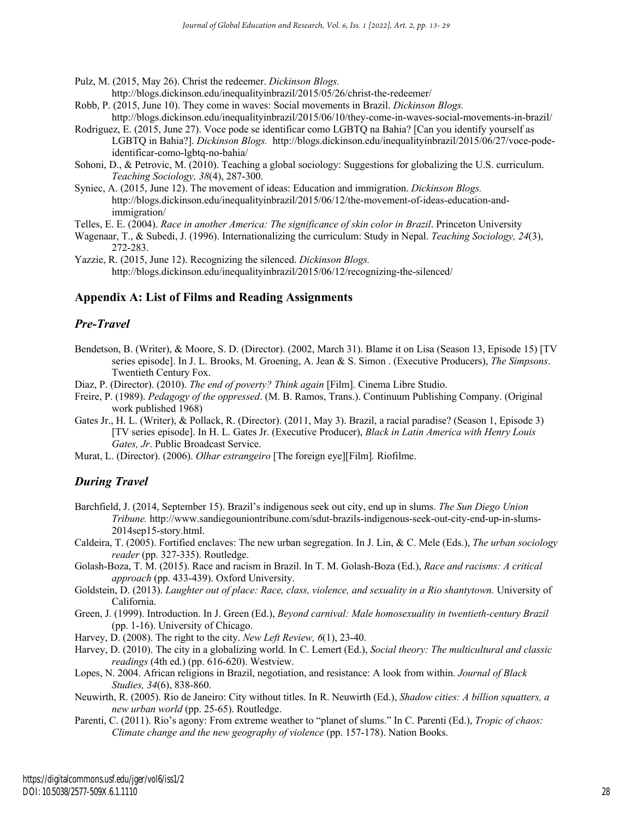Pulz, M. (2015, May 26). Christ the redeemer. *Dickinson Blogs.* 

http://blogs.dickinson.edu/inequalityinbrazil/2015/05/26/christ-the-redeemer/

- Robb, P. (2015, June 10). They come in waves: Social movements in Brazil. *Dickinson Blogs.*  http://blogs.dickinson.edu/inequalityinbrazil/2015/06/10/they-come-in-waves-social-movements-in-brazil/
- Rodriguez, E. (2015, June 27). Voce pode se identificar como LGBTQ na Bahia? [Can you identify yourself as LGBTQ in Bahia?]. *Dickinson Blogs.* http://blogs.dickinson.edu/inequalityinbrazil/2015/06/27/voce-podeidentificar-como-lgbtq-no-bahia/
- Sohoni, D., & Petrovic, M. (2010). Teaching a global sociology: Suggestions for globalizing the U.S. curriculum. *Teaching Sociology, 38*(4), 287-300.
- Syniec, A. (2015, June 12). The movement of ideas: Education and immigration. *Dickinson Blogs.*  http://blogs.dickinson.edu/inequalityinbrazil/2015/06/12/the-movement-of-ideas-education-andimmigration/

Telles, E. E. (2004). *Race in another America: The significance of skin color in Brazil*. Princeton University

Wagenaar, T., & Subedi, J. (1996). Internationalizing the curriculum: Study in Nepal. *Teaching Sociology, 24*(3), 272-283.

Yazzie, R. (2015, June 12). Recognizing the silenced. *Dickinson Blogs.*  http://blogs.dickinson.edu/inequalityinbrazil/2015/06/12/recognizing-the-silenced/

#### **Appendix A: List of Films and Reading Assignments**

#### *Pre-Travel*

- Bendetson, B. (Writer), & Moore, S. D. (Director). (2002, March 31). Blame it on Lisa (Season 13, Episode 15) [TV series episode]. In J. L. Brooks, M. Groening, A. Jean & S. Simon . (Executive Producers), *The Simpsons*. Twentieth Century Fox.
- Diaz, P. (Director). (2010). *The end of poverty? Think again* [Film]*.* Cinema Libre Studio.
- Freire, P. (1989). *Pedagogy of the oppressed*. (M. B. Ramos, Trans.). Continuum Publishing Company. (Original work published 1968)
- Gates Jr., H. L. (Writer), & Pollack, R. (Director). (2011, May 3). Brazil, a racial paradise? (Season 1, Episode 3) [TV series episode]. In H. L. Gates Jr. (Executive Producer), *Black in Latin America with Henry Louis Gates, Jr*. Public Broadcast Service.
- Murat, L. (Director). (2006). *Olhar estrangeiro* [The foreign eye][Film]*.* Riofilme.

#### *During Travel*

- Barchfield, J. (2014, September 15). Brazil's indigenous seek out city, end up in slums. *The Sun Diego Union Tribune.* http://www.sandiegouniontribune.com/sdut-brazils-indigenous-seek-out-city-end-up-in-slums-2014sep15-story.html.
- Caldeira, T. (2005). Fortified enclaves: The new urban segregation. In J. Lin, & C. Mele (Eds.), *The urban sociology reader* (pp. 327-335). Routledge.
- Golash-Boza, T. M. (2015). Race and racism in Brazil. In T. M. Golash-Boza (Ed.), *Race and racisms: A critical approach* (pp. 433-439). Oxford University.
- Goldstein, D. (2013). *Laughter out of place: Race, class, violence, and sexuality in a Rio shantytown.* University of California.
- Green, J. (1999). Introduction. In J. Green (Ed.), *Beyond carnival: Male homosexuality in twentieth-century Brazil*  (pp. 1-16). University of Chicago.
- Harvey, D. (2008). The right to the city. *New Left Review, 6*(1), 23-40.
- Harvey, D. (2010). The city in a globalizing world. In C. Lemert (Ed.), *Social theory: The multicultural and classic readings* (4th ed.) (pp. 616-620). Westview.
- Lopes, N. 2004. African religions in Brazil, negotiation, and resistance: A look from within. *Journal of Black Studies, 34*(6), 838-860.
- Neuwirth, R. (2005). Rio de Janeiro: City without titles. In R. Neuwirth (Ed.), *Shadow cities: A billion squatters, a new urban world* (pp. 25-65). Routledge.
- Parenti, C. (2011). Rio's agony: From extreme weather to "planet of slums." In C. Parenti (Ed.), *Tropic of chaos: Climate change and the new geography of violence* (pp. 157-178). Nation Books.